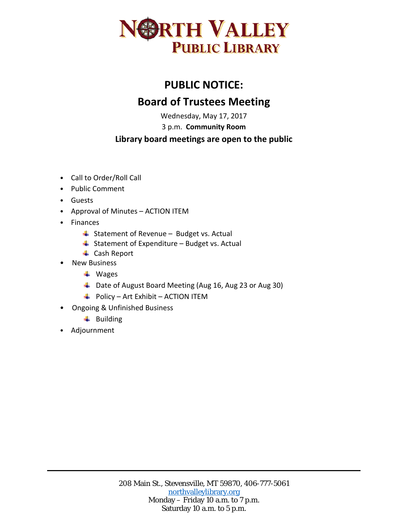

## **PUBLIC NOTICE: Board of Trustees Meeting**

Wednesday, May 17, 2017

3 p.m. **Community Room**

## **Library board meetings are open to the public**

- Call to Order/Roll Call
- Public Comment
- Guests
- Approval of Minutes ACTION ITEM
- Finances
	- $\frac{1}{2}$  Statement of Revenue Budget vs. Actual
	- $\triangleq$  Statement of Expenditure Budget vs. Actual
	- **← Cash Report**
- New Business
	- **↓** Wages
	- Date of August Board Meeting (Aug 16, Aug 23 or Aug 30)
	- $\overline{\phantom{a}+}$  Policy Art Exhibit ACTION ITEM
- Ongoing & Unfinished Business
	- $\ddot{ }$  Building
- Adjournment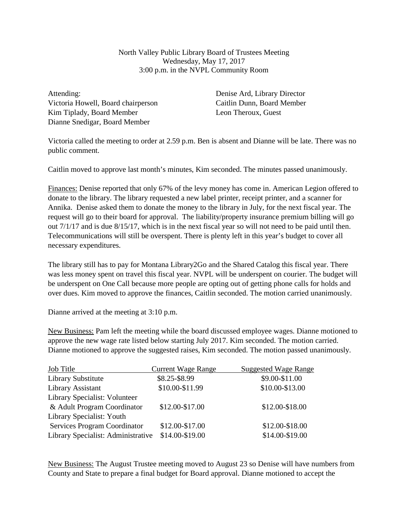North Valley Public Library Board of Trustees Meeting Wednesday, May 17, 2017 3:00 p.m. in the NVPL Community Room

Attending: Victoria Howell, Board chairperson Kim Tiplady, Board Member Dianne Snedigar, Board Member

Denise Ard, Library Director Caitlin Dunn, Board Member Leon Theroux, Guest

Victoria called the meeting to order at 2.59 p.m. Ben is absent and Dianne will be late. There was no public comment.

Caitlin moved to approve last month's minutes, Kim seconded. The minutes passed unanimously.

Finances: Denise reported that only 67% of the levy money has come in. American Legion offered to donate to the library. The library requested a new label printer, receipt printer, and a scanner for Annika. Denise asked them to donate the money to the library in July, for the next fiscal year. The request will go to their board for approval. The liability/property insurance premium billing will go out 7/1/17 and is due 8/15/17, which is in the next fiscal year so will not need to be paid until then. Telecommunications will still be overspent. There is plenty left in this year's budget to cover all necessary expenditures.

The library still has to pay for Montana Library2Go and the Shared Catalog this fiscal year. There was less money spent on travel this fiscal year. NVPL will be underspent on courier. The budget will be underspent on One Call because more people are opting out of getting phone calls for holds and over dues. Kim moved to approve the finances, Caitlin seconded. The motion carried unanimously.

Dianne arrived at the meeting at 3:10 p.m.

New Business: Pam left the meeting while the board discussed employee wages. Dianne motioned to approve the new wage rate listed below starting July 2017. Kim seconded. The motion carried. Dianne motioned to approve the suggested raises, Kim seconded. The motion passed unanimously.

| <b>Job Title</b>                   | <b>Current Wage Range</b> | <b>Suggested Wage Range</b> |
|------------------------------------|---------------------------|-----------------------------|
| Library Substitute                 | \$8.25-\$8.99             | \$9.00-\$11.00              |
| Library Assistant                  | \$10.00-\$11.99           | \$10.00-\$13.00             |
| Library Specialist: Volunteer      |                           |                             |
| & Adult Program Coordinator        | \$12.00-\$17.00           | \$12.00-\$18.00             |
| Library Specialist: Youth          |                           |                             |
| Services Program Coordinator       | \$12.00-\$17.00           | \$12.00-\$18.00             |
| Library Specialist: Administrative | \$14.00-\$19.00           | \$14.00-\$19.00             |

New Business: The August Trustee meeting moved to August 23 so Denise will have numbers from County and State to prepare a final budget for Board approval. Dianne motioned to accept the